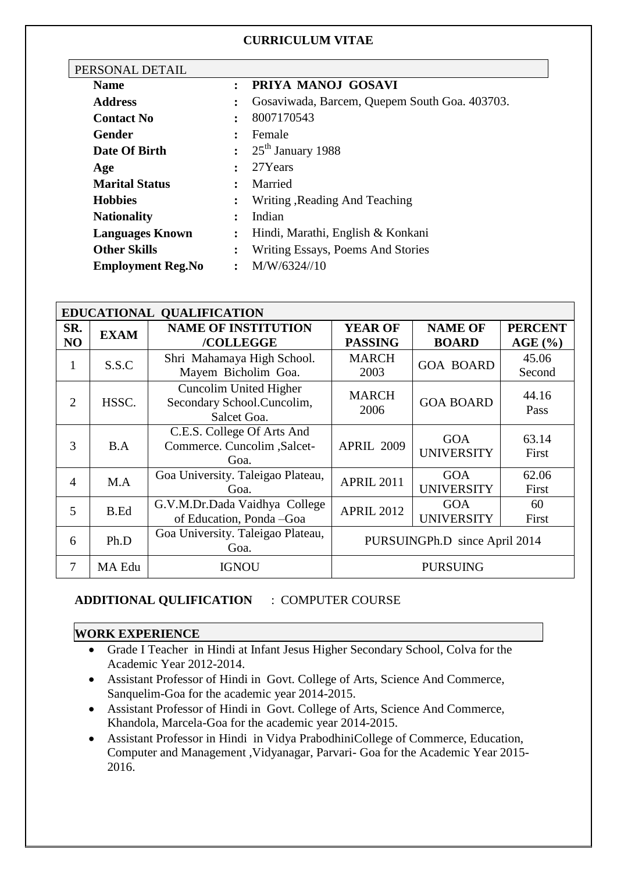### **CURRICULUM VITAE**

| PERSONAL DETAIL          |                |                                               |  |
|--------------------------|----------------|-----------------------------------------------|--|
| <b>Name</b>              | $\ddot{\cdot}$ | PRIYA MANOJ GOSAVI                            |  |
| <b>Address</b>           | ፡              | Gosaviwada, Barcem, Quepem South Goa. 403703. |  |
| <b>Contact No</b>        | $\ddot{\cdot}$ | 8007170543                                    |  |
| Gender                   | $\ddot{\cdot}$ | Female                                        |  |
| Date Of Birth            | $\ddot{\cdot}$ | $25th$ January 1988                           |  |
| Age                      | $\ddot{\cdot}$ | 27Years                                       |  |
| <b>Marital Status</b>    | ٠              | Married                                       |  |
| <b>Hobbies</b>           | $\ddot{\cdot}$ | Writing, Reading And Teaching                 |  |
| <b>Nationality</b>       | $\ddot{\cdot}$ | Indian                                        |  |
| <b>Languages Known</b>   | ፡              | Hindi, Marathi, English & Konkani             |  |
| <b>Other Skills</b>      | ፡              | <b>Writing Essays, Poems And Stories</b>      |  |
| <b>Employment Reg.No</b> | $\ddot{\cdot}$ | M/W/6324//10                                  |  |

| EDUCATIONAL QUALIFICATION |             |                                                                     |                                  |                                 |                           |  |  |  |
|---------------------------|-------------|---------------------------------------------------------------------|----------------------------------|---------------------------------|---------------------------|--|--|--|
| SR.<br>N <sub>O</sub>     | <b>EXAM</b> | <b>NAME OF INSTITUTION</b><br>/COLLEGGE                             | <b>YEAR OF</b><br><b>PASSING</b> | <b>NAME OF</b><br><b>BOARD</b>  | <b>PERCENT</b><br>AGE (%) |  |  |  |
| 1                         | S.S.C       | Shri Mahamaya High School.<br>Mayem Bicholim Goa.                   | <b>MARCH</b><br>2003             | <b>GOA BOARD</b>                | 45.06<br>Second           |  |  |  |
| 2                         | HSSC.       | Cuncolim United Higher<br>Secondary School.Cuncolim,<br>Salcet Goa. | <b>MARCH</b><br>2006             | <b>GOA BOARD</b>                | 44.16<br>Pass             |  |  |  |
| 3                         | B.A         | C.E.S. College Of Arts And<br>Commerce. Cuncolim , Salcet-<br>Goa.  | <b>APRIL 2009</b>                | <b>GOA</b><br><b>UNIVERSITY</b> | 63.14<br>First            |  |  |  |
| $\overline{4}$            | M.A         | Goa University. Taleigao Plateau,<br>Goa.                           | <b>APRIL 2011</b>                | <b>GOA</b><br><b>UNIVERSITY</b> | 62.06<br>First            |  |  |  |
| 5                         | B.Ed        | G.V.M.Dr.Dada Vaidhya College<br>of Education, Ponda - Goa          | <b>APRIL 2012</b>                | <b>GOA</b><br><b>UNIVERSITY</b> | 60<br>First               |  |  |  |
| 6                         | Ph.D        | Goa University. Taleigao Plateau,<br>Goa.                           | PURSUINGPh.D since April 2014    |                                 |                           |  |  |  |
| 7                         | MA Edu      | <b>IGNOU</b>                                                        | <b>PURSUING</b>                  |                                 |                           |  |  |  |

## **ADDITIONAL QULIFICATION** : COMPUTER COURSE

### **WORK EXPERIENCE**

- Grade I Teacher in Hindi at Infant Jesus Higher Secondary School, Colva for the Academic Year 2012-2014.
- Assistant Professor of Hindi in Govt. College of Arts, Science And Commerce, Sanquelim-Goa for the academic year 2014-2015.
- Assistant Professor of Hindi in Govt. College of Arts, Science And Commerce, Khandola, Marcela-Goa for the academic year 2014-2015.
- Assistant Professor in Hindi in Vidya PrabodhiniCollege of Commerce, Education, Computer and Management ,Vidyanagar, Parvari- Goa for the Academic Year 2015- 2016.